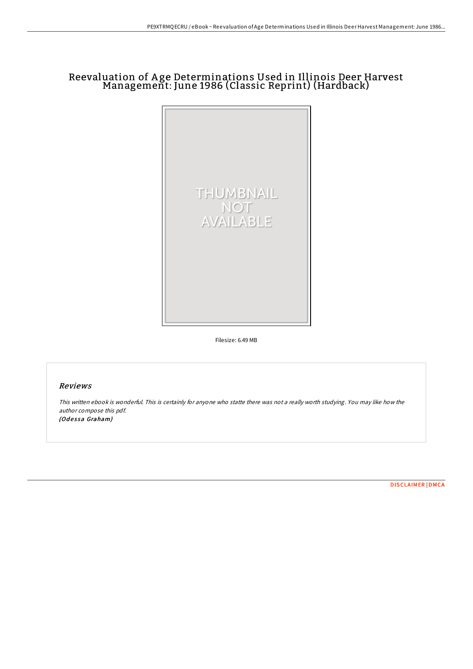## Reevaluation of A ge Determinations Used in Illinois Deer Harvest Management: June 1986 (Classic Reprint) (Hardback)



Filesize: 6.49 MB

## Reviews

This written ebook is wonderful. This is certainly for anyone who statte there was not <sup>a</sup> really worth studying. You may like how the author compose this pdf. (Odessa Graham)

[DISCLAIMER](http://almighty24.tech/disclaimer.html) | [DMCA](http://almighty24.tech/dmca.html)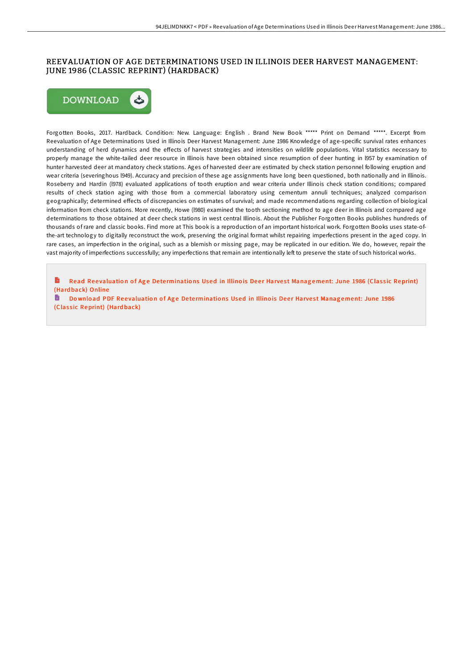## REEVALUATION OF AGE DETERMINATIONS USED IN ILLINOIS DEER HARVEST MANAGEMENT: JUNE 1986 (CLASSIC REPRINT) (HARDBACK)



Forgotten Books, 2017. Hardback. Condition: New. Language: English . Brand New Book \*\*\*\*\* Print on Demand \*\*\*\*\*. Excerpt from Reevaluation of Age Determinations Used in Illinois Deer Harvest Management: June 1986 Knowledge of age-specific survival rates enhances understanding of herd dynamics and the effects of harvest strategies and intensities on wildlife populations. Vital statistics necessary to properly manage the white-tailed deer resource in Illinois have been obtained since resumption of deer hunting in l957 by examination of hunter harvested deer at mandatory check stations. Ages of harvested deer are estimated by check station personnel following eruption and wear criteria (severinghous l949). Accuracy and precision of these age assignments have long been questioned, both nationally and in Illinois. Roseberry and Hardin (l978) evaluated applications of tooth eruption and wear criteria under Illinois check station conditions; compared results of check station aging with those from a commercial laboratory using cementum annuli techniques; analyzed comparison geographically; determined effects of discrepancies on estimates of survival; and made recommendations regarding collection of biological information from check stations. More recently, Howe (l980) examined the tooth sectioning method to age deer in Illinois and compared age determinations to those obtained at deer check stations in west central Illinois. About the Publisher Forgotten Books publishes hundreds of thousands of rare and classic books. Find more at This book is a reproduction of an important historical work. Forgotten Books uses state-ofthe-art technology to digitally reconstruct the work, preserving the original format whilst repairing imperfections present in the aged copy. In rare cases, an imperfection in the original, such as a blemish or missing page, may be replicated in our edition. We do, however, repair the vast majority of imperfections successfully; any imperfections that remain are intentionally left to preserve the state of such historical works.

Read Reevaluation of Age Dete[rminatio](http://almighty24.tech/reevaluation-of-age-determinations-used-in-illin-1.html)ns Used in Illinois Deer Harvest Management: June 1986 (Classic Reprint) (Hard back) Online

h Download PDF Reevaluation of Age Dete[rminatio](http://almighty24.tech/reevaluation-of-age-determinations-used-in-illin-1.html)ns Used in Illinois Deer Harvest Management: June 1986 (Classic Reprint) (Hardback)